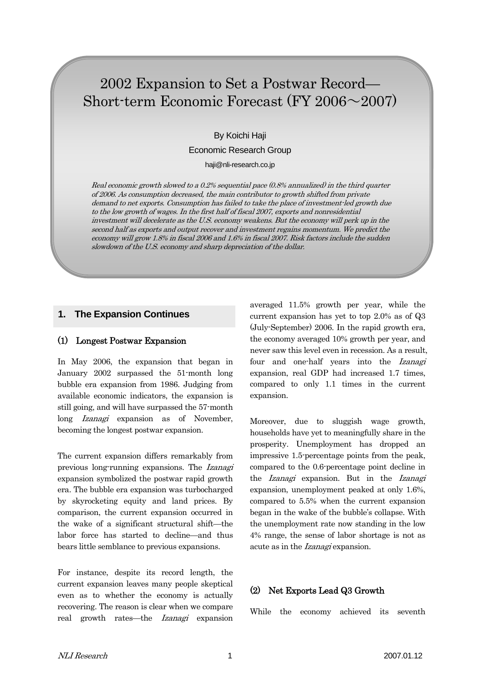# 2002 Expansion to Set a Postwar Record— Short-term Economic Forecast (FY 2006~2007)

By Koichi Haji Economic Research Group

haji@nli-research.co.jp

Real economic growth slowed to a 0.2% sequential pace (0.8% annualized) in the third quarter of 2006. As consumption decreased, the main contributor to growth shifted from private demand to net exports. Consumption has failed to take the place of investment-led growth due to the low growth of wages. In the first half of fiscal 2007, exports and nonresidential investment will decelerate as the U.S. economy weakens. But the economy will perk up in the second half as exports and output recover and investment regains momentum. We predict the economy will grow 1.8% in fiscal 2006 and 1.6% in fiscal 2007. Risk factors include the sudden slowdown of the U.S. economy and sharp depreciation of the dollar.

# **1. The Expansion Continues**

## (1) Longest Postwar Expansion

In May 2006, the expansion that began in January 2002 surpassed the 51-month long bubble era expansion from 1986. Judging from available economic indicators, the expansion is still going, and will have surpassed the 57-month long *Izanagi* expansion as of November, becoming the longest postwar expansion.

The current expansion differs remarkably from previous long-running expansions. The Izanagi expansion symbolized the postwar rapid growth era. The bubble era expansion was turbocharged by skyrocketing equity and land prices. By comparison, the current expansion occurred in the wake of a significant structural shift—the labor force has started to decline—and thus bears little semblance to previous expansions.

For instance, despite its record length, the current expansion leaves many people skeptical even as to whether the economy is actually recovering. The reason is clear when we compare real growth rates—the Izanagi expansion averaged 11.5% growth per year, while the current expansion has yet to top 2.0% as of Q3 (July-September) 2006. In the rapid growth era, the economy averaged 10% growth per year, and never saw this level even in recession. As a result, four and one-half years into the *Izanagi* expansion, real GDP had increased 1.7 times, compared to only 1.1 times in the current expansion.

Moreover, due to sluggish wage growth, households have yet to meaningfully share in the prosperity. Unemployment has dropped an impressive 1.5-percentage points from the peak, compared to the 0.6-percentage point decline in the Izanagi expansion. But in the Izanagi expansion, unemployment peaked at only 1.6%, compared to 5.5% when the current expansion began in the wake of the bubble's collapse. With the unemployment rate now standing in the low 4% range, the sense of labor shortage is not as acute as in the *Izanagi* expansion.

# (2) Net Exports Lead Q3 Growth

While the economy achieved its seventh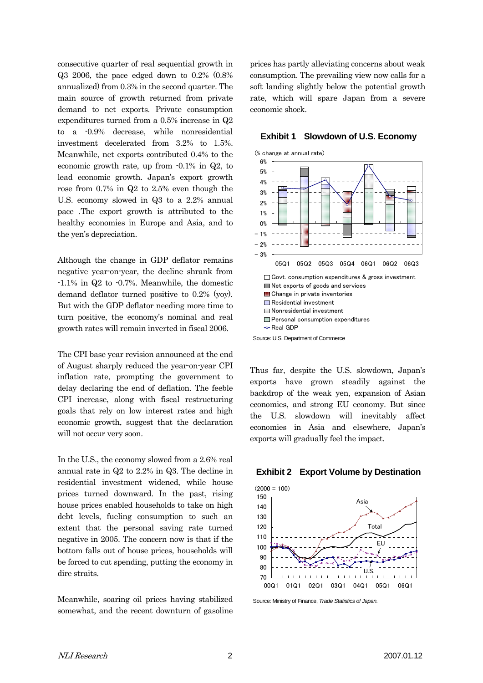consecutive quarter of real sequential growth in Q3 2006, the pace edged down to 0.2% (0.8% annualized) from 0.3% in the second quarter. The main source of growth returned from private demand to net exports. Private consumption expenditures turned from a 0.5% increase in Q2 to a -0.9% decrease, while nonresidential investment decelerated from 3.2% to 1.5%. Meanwhile, net exports contributed 0.4% to the economic growth rate, up from -0.1% in Q2, to lead economic growth. Japan's export growth rose from 0.7% in Q2 to 2.5% even though the U.S. economy slowed in Q3 to a 2.2% annual pace .The export growth is attributed to the healthy economies in Europe and Asia, and to the yen's depreciation.

Although the change in GDP deflator remains negative year-on-year, the decline shrank from -1.1% in Q2 to -0.7%. Meanwhile, the domestic demand deflator turned positive to 0.2% (yoy). But with the GDP deflator needing more time to turn positive, the economy's nominal and real growth rates will remain inverted in fiscal 2006.

The CPI base year revision announced at the end of August sharply reduced the year-on-year CPI inflation rate, prompting the government to delay declaring the end of deflation. The feeble CPI increase, along with fiscal restructuring goals that rely on low interest rates and high economic growth, suggest that the declaration will not occur very soon.

In the U.S., the economy slowed from a 2.6% real annual rate in Q2 to 2.2% in Q3. The decline in residential investment widened, while house prices turned downward. In the past, rising house prices enabled households to take on high debt levels, fueling consumption to such an extent that the personal saving rate turned negative in 2005. The concern now is that if the bottom falls out of house prices, households will be forced to cut spending, putting the economy in dire straits.

Meanwhile, soaring oil prices having stabilized somewhat, and the recent downturn of gasoline prices has partly alleviating concerns about weak consumption. The prevailing view now calls for a soft landing slightly below the potential growth rate, which will spare Japan from a severe economic shock.

### $-3%$  $-2%$  $-1%$ 0% 1% 2% 3% 4% 5% 6% 05Q1 05Q2 05Q3 05Q4 06Q1 06Q2 06Q3 □ Govt. consumption expenditures & gross investment Net exports of goods and services **ESS** Change in private inventories **Residential investment ENonresidential investment Personal consumption expenditures**  $\div$  Real GDP (% change at annual rate) Source: U.S. Department of Commerce

#### **Exhibit 1 Slowdown of U.S. Economy**

Thus far, despite the U.S. slowdown, Japan's exports have grown steadily against the backdrop of the weak yen, expansion of Asian economies, and strong EU economy. But since the U.S. slowdown will inevitably affect economies in Asia and elsewhere, Japan's exports will gradually feel the impact.





Source: Ministry of Finance, *Trade Statistics of Japan.*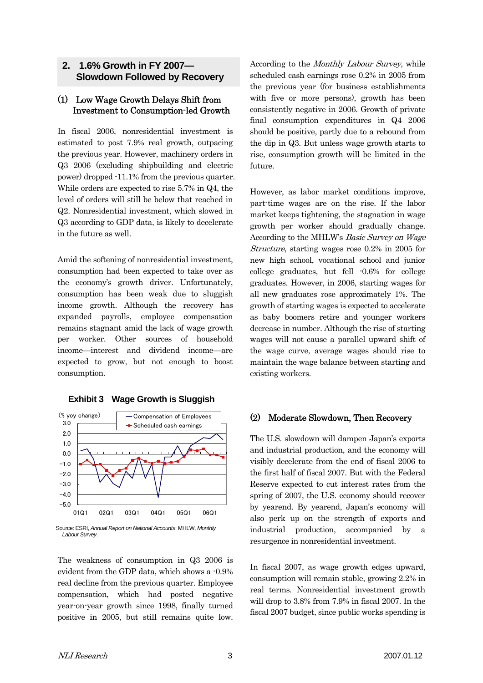# **2. 1.6% Growth in FY 2007— Slowdown Followed by Recovery**

# (1) Low Wage Growth Delays Shift from Investment to Consumption-led Growth

In fiscal 2006, nonresidential investment is estimated to post 7.9% real growth, outpacing the previous year. However, machinery orders in Q3 2006 (excluding shipbuilding and electric power) dropped -11.1% from the previous quarter. While orders are expected to rise 5.7% in Q4, the level of orders will still be below that reached in Q2. Nonresidential investment, which slowed in Q3 according to GDP data, is likely to decelerate in the future as well.

Amid the softening of nonresidential investment, consumption had been expected to take over as the economy's growth driver. Unfortunately, consumption has been weak due to sluggish income growth. Although the recovery has expanded payrolls, employee compensation remains stagnant amid the lack of wage growth per worker. Other sources of household income—interest and dividend income—are expected to grow, but not enough to boost consumption.



**Exhibit 3 Wage Growth is Sluggish** 

The weakness of consumption in Q3 2006 is evident from the GDP data, which shows a -0.9% real decline from the previous quarter. Employee compensation, which had posted negative year-on-year growth since 1998, finally turned positive in 2005, but still remains quite low. According to the Monthly Labour Survey, while scheduled cash earnings rose 0.2% in 2005 from the previous year (for business establishments with five or more persons), growth has been consistently negative in 2006. Growth of private final consumption expenditures in Q4 2006 should be positive, partly due to a rebound from the dip in Q3. But unless wage growth starts to rise, consumption growth will be limited in the future.

However, as labor market conditions improve, part-time wages are on the rise. If the labor market keeps tightening, the stagnation in wage growth per worker should gradually change. According to the MHLW's Basic Survey on Wage Structure, starting wages rose 0.2% in 2005 for new high school, vocational school and junior college graduates, but fell -0.6% for college graduates. However, in 2006, starting wages for all new graduates rose approximately 1%. The growth of starting wages is expected to accelerate as baby boomers retire and younger workers decrease in number. Although the rise of starting wages will not cause a parallel upward shift of the wage curve, average wages should rise to maintain the wage balance between starting and existing workers.

# (2) Moderate Slowdown, Then Recovery

The U.S. slowdown will dampen Japan's exports and industrial production, and the economy will visibly decelerate from the end of fiscal 2006 to the first half of fiscal 2007. But with the Federal Reserve expected to cut interest rates from the spring of 2007, the U.S. economy should recover by yearend. By yearend, Japan's economy will also perk up on the strength of exports and industrial production, accompanied by a resurgence in nonresidential investment.

In fiscal 2007, as wage growth edges upward, consumption will remain stable, growing 2.2% in real terms. Nonresidential investment growth will drop to 3.8% from 7.9% in fiscal 2007. In the fiscal 2007 budget, since public works spending is

Source: ESRI, *Annual Report on National Accounts*; MHLW, *Monthly Labour Survey*.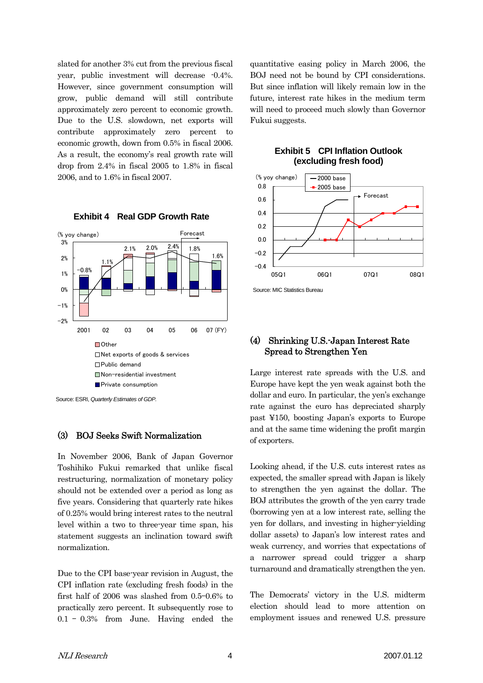slated for another 3% cut from the previous fiscal year, public investment will decrease -0.4%. However, since government consumption will grow, public demand will still contribute approximately zero percent to economic growth. Due to the U.S. slowdown, net exports will contribute approximately zero percent to economic growth, down from 0.5% in fiscal 2006. As a result, the economy's real growth rate will drop from 2.4% in fiscal 2005 to 1.8% in fiscal 2006, and to 1.6% in fiscal 2007.



### **Exhibit 4 Real GDP Growth Rate**

#### (3) BOJ Seeks Swift Normalization

In November 2006, Bank of Japan Governor Toshihiko Fukui remarked that unlike fiscal restructuring, normalization of monetary policy should not be extended over a period as long as five years. Considering that quarterly rate hikes of 0.25% would bring interest rates to the neutral level within a two to three-year time span, his statement suggests an inclination toward swift normalization.

Due to the CPI base-year revision in August, the CPI inflation rate (excluding fresh foods) in the first half of 2006 was slashed from 0.5–0.6% to practically zero percent. It subsequently rose to 0.1 – 0.3% from June. Having ended the quantitative easing policy in March 2006, the BOJ need not be bound by CPI considerations. But since inflation will likely remain low in the future, interest rate hikes in the medium term will need to proceed much slowly than Governor Fukui suggests.

**Exhibit 5 CPI Inflation Outlook** 



### Source: MIC Statistics Bureau

### (4) Shrinking U.S.-Japan Interest Rate Spread to Strengthen Yen

Large interest rate spreads with the U.S. and Europe have kept the yen weak against both the dollar and euro. In particular, the yen's exchange rate against the euro has depreciated sharply past ¥150, boosting Japan's exports to Europe and at the same time widening the profit margin of exporters.

Looking ahead, if the U.S. cuts interest rates as expected, the smaller spread with Japan is likely to strengthen the yen against the dollar. The BOJ attributes the growth of the yen carry trade (borrowing yen at a low interest rate, selling the yen for dollars, and investing in higher-yielding dollar assets) to Japan's low interest rates and weak currency, and worries that expectations of a narrower spread could trigger a sharp turnaround and dramatically strengthen the yen.

The Democrats' victory in the U.S. midterm election should lead to more attention on employment issues and renewed U.S. pressure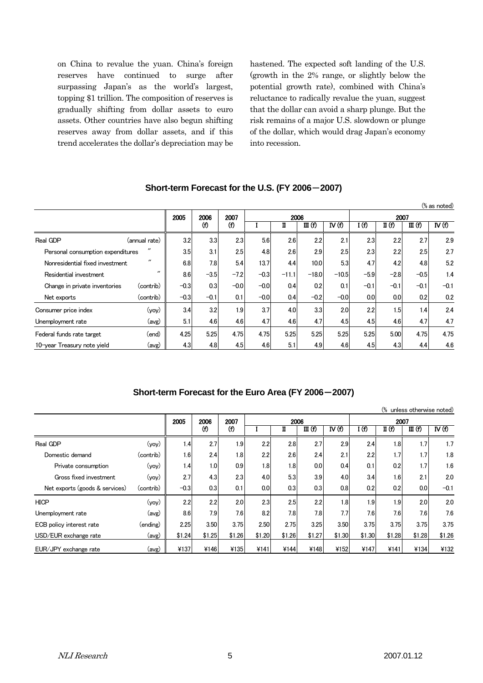on China to revalue the yuan. China's foreign reserves have continued to surge after surpassing Japan's as the world's largest, topping \$1 trillion. The composition of reserves is gradually shifting from dollar assets to euro assets. Other countries have also begun shifting reserves away from dollar assets, and if this trend accelerates the dollar's depreciation may be hastened. The expected soft landing of the U.S. (growth in the 2% range, or slightly below the potential growth rate), combined with China's reluctance to radically revalue the yuan, suggest that the dollar can avoid a sharp plunge. But the risk remains of a major U.S. slowdown or plunge of the dollar, which would drag Japan's economy into recession.

|                                                        |                   |        |        |             |        |         |         |                  |                  |        |        | $%$ as noted)    |  |
|--------------------------------------------------------|-------------------|--------|--------|-------------|--------|---------|---------|------------------|------------------|--------|--------|------------------|--|
|                                                        |                   | 2005   | 2006   | 2007<br>(f) |        | 2006    |         |                  | 2007             |        |        |                  |  |
|                                                        |                   |        | (f)    |             |        | Π       | III(f)  | $\mathbf{N}$ (f) | I (f)            | II (f) | III(f) | $\mathbf{N}$ (f) |  |
| Real GDP                                               | (annual rate)     | 3.2    | 3.3    | 2.3         | 5.6    | 2.6     | 2.2     | 2.1              | 2.3              | 2.2    | 2.7    | 2.9              |  |
| $^{\prime\prime}$<br>Personal consumption expenditures |                   | 3.5    | 3.1    | 2.5         | 4.8    | 2.6     | 2.9     | 2.5              | 2.3              | 2.2    | 2.5    | 2.7              |  |
| Nonresidential fixed investment                        | $^{\prime\prime}$ | 6.8    | 7.8    | 5.4         | 13.7   | 4.4     | 10.0    | 5.3              | 4.7              | 4.2    | 4.8    | 5.2              |  |
| Residential investment                                 | $^{\prime\prime}$ | 8.6    | $-3.5$ | $-7.2$      | $-0.3$ | $-11.1$ | $-18.0$ | $-10.5$          | $-5.9$           | $-2.8$ | $-0.5$ | 1.4              |  |
| Change in private inventories                          | (contrib)         | $-0.3$ | 0.3    | $-0.0$      | $-0.0$ | 0.4     | 0.2     | 0.1              | $-0.1$           | $-0.1$ | $-0.1$ | $-0.1$           |  |
| Net exports                                            | (contrib)         | $-0.3$ | $-0.1$ | 0.1         | $-0.0$ | 0.4     | $-0.2$  | $-0.0$           | 0.0 <sub>l</sub> | 0.0    | 0.2    | 0.2              |  |
| Consumer price index                                   | (yoy)             | 3.4    | 3.2    | 1.9         | 3.7    | 4.0     | 3.3     | 2.0              | 2.2              | 1.5    | 1.4    | 2.4              |  |
| Unemployment rate                                      | (avg)             | 5.1    | 4.6    | 4.6         | 4.7    | 4.6     | 4.7     | 4.5              | 4.5              | 4.6    | 4.7    | 4.7              |  |
| Federal funds rate target                              | (end)             | 4.25   | 5.25   | 4.75        | 4.75   | 5.25    | 5.25    | 5.25             | 5.25             | 5.00   | 4.75   | 4.75             |  |
| 10-year Treasury note yield                            | (avg)             | 4.3    | 4.8    | 4.5         | 4.6    | 5.1     | 4.9     | 4.6              | 4.5              | 4.3    | 4.4    | 4.6              |  |

# **Short-term Forecast for the U.S. (FY 2006**-**2007)**

### **Short-term Forecast for the Euro Area (FY 2006**-**2007)**

|                                |           |        |                  |             |        |        |        |                  |        |        | (% unless otherwise noted) |                  |  |
|--------------------------------|-----------|--------|------------------|-------------|--------|--------|--------|------------------|--------|--------|----------------------------|------------------|--|
|                                |           | 2005   | 2006             | 2007<br>(f) |        | 2006   |        |                  | 2007   |        |                            |                  |  |
|                                |           |        | (f)              |             |        | п      | III(f) | IV(f)            | I (f)  | II (f) | III(f)                     | $\mathbf{N}$ (f) |  |
| Real GDP                       | (yoy)     | 1.4    | 2.7              | 1.9         | 2.2    | 2.8    | 2.7    | 2.9              | 2.4    | 1.8    | 1.7                        | 1.7              |  |
| Domestic demand                | (contrib) | 1.6    | 2.4              | 1.8         | 2.2    | 2.6    | 2.4    | 2.1              | 2.2    | 1.7    | 1.7                        | 1.8              |  |
| Private consumption            | (yoy)     | 1.4    | 1.0              | 0.9         | 1.8    | 1.8    | 0.0    | 0.4              | 0.1    | 0.2    | 1.7                        | 1.6              |  |
| Gross fixed investment         | (vov)     | 2.7    | 4.3              | 2.3         | 4.0    | 5.3    | 3.9    | 4.0 <sub>1</sub> | 3.4    | 1.6    | $2^{\circ}$                | 2.0              |  |
| Net exports (goods & services) | (contrib) | $-0.3$ | 0.3 <sub>1</sub> | 0.1         | 0.0    | 0.3    | 0.3    | 0.8              | 0.2    | 0.2    | 0.0 <sub>l</sub>           | $-0.1$           |  |
| <b>HICP</b>                    | (yoy)     | 2.2    | 2.2              | 2.0         | 2.3    | 2.5    | 2.2    | 1.8              | 1.9    | 1.9    | 2.0                        | 2.0              |  |
| Unemployment rate              | (avg)     | 8.6    | 7.9              | 7.6         | 8.2    | 7.8    | 7.8    | 7.7              | 7.6    | 7.6    | 7.6                        | 7.6              |  |
| ECB policy interest rate       | (ending)  | 2.25   | 3.50             | 3.75        | 2.50   | 2.75   | 3.25   | 3.50             | 3.75   | 3.75   | 3.75                       | 3.75             |  |
| USD/EUR exchange rate          | (avg)     | \$1.24 | \$1.25           | \$1.26      | \$1.20 | \$1.26 | \$1.27 | \$1.30           | \$1.30 | \$1.28 | \$1.28                     | \$1.26           |  |
| EUR/JPY exchange rate          | (avg)     | ¥137   | ¥146             | ¥135        | ¥141   | ¥144   | ¥148   | ¥152             | ¥147   | ¥141   | ¥134                       | ¥132             |  |